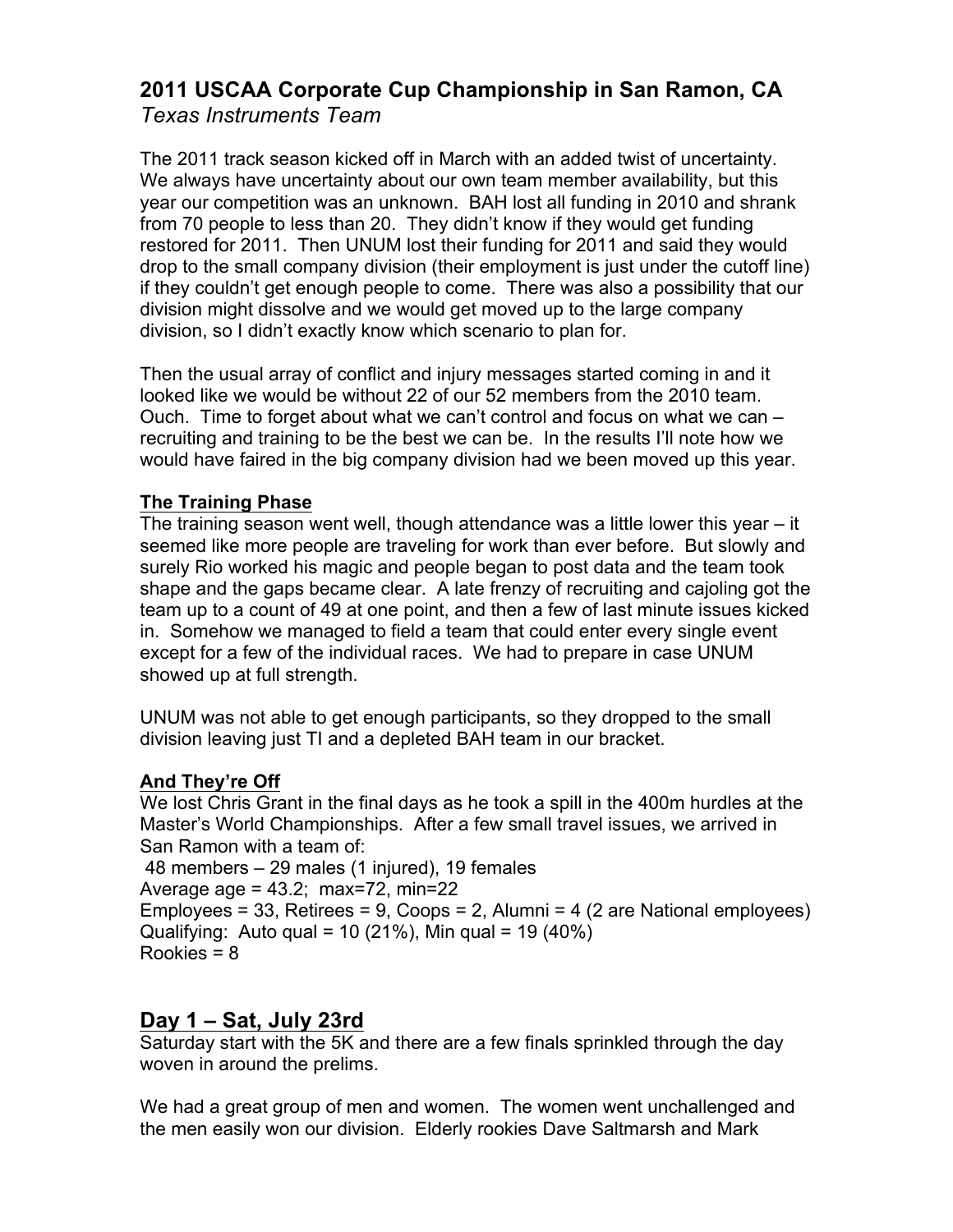## **2011 USCAA Corporate Cup Championship in San Ramon, CA** *Texas Instruments Team*

The 2011 track season kicked off in March with an added twist of uncertainty. We always have uncertainty about our own team member availability, but this year our competition was an unknown. BAH lost all funding in 2010 and shrank from 70 people to less than 20. They didn't know if they would get funding restored for 2011. Then UNUM lost their funding for 2011 and said they would drop to the small company division (their employment is just under the cutoff line) if they couldn't get enough people to come. There was also a possibility that our division might dissolve and we would get moved up to the large company division, so I didn't exactly know which scenario to plan for.

Then the usual array of conflict and injury messages started coming in and it looked like we would be without 22 of our 52 members from the 2010 team. Ouch. Time to forget about what we can't control and focus on what we can – recruiting and training to be the best we can be. In the results I'll note how we would have faired in the big company division had we been moved up this year.

#### **The Training Phase**

The training season went well, though attendance was a little lower this year – it seemed like more people are traveling for work than ever before. But slowly and surely Rio worked his magic and people began to post data and the team took shape and the gaps became clear. A late frenzy of recruiting and cajoling got the team up to a count of 49 at one point, and then a few of last minute issues kicked in. Somehow we managed to field a team that could enter every single event except for a few of the individual races. We had to prepare in case UNUM showed up at full strength.

UNUM was not able to get enough participants, so they dropped to the small division leaving just TI and a depleted BAH team in our bracket.

### **And They're Off**

We lost Chris Grant in the final days as he took a spill in the 400m hurdles at the Master's World Championships. After a few small travel issues, we arrived in San Ramon with a team of:

48 members – 29 males (1 injured), 19 females Average age =  $43.2$ ; max= $72$ , min= $22$ Employees = 33, Retirees = 9, Coops = 2, Alumni = 4 (2 are National employees) Qualifying: Auto qual = 10 (21%), Min qual = 19 (40%) Rookies = 8

### **Day 1 – Sat, July 23rd**

Saturday start with the 5K and there are a few finals sprinkled through the day woven in around the prelims.

We had a great group of men and women. The women went unchallenged and the men easily won our division. Elderly rookies Dave Saltmarsh and Mark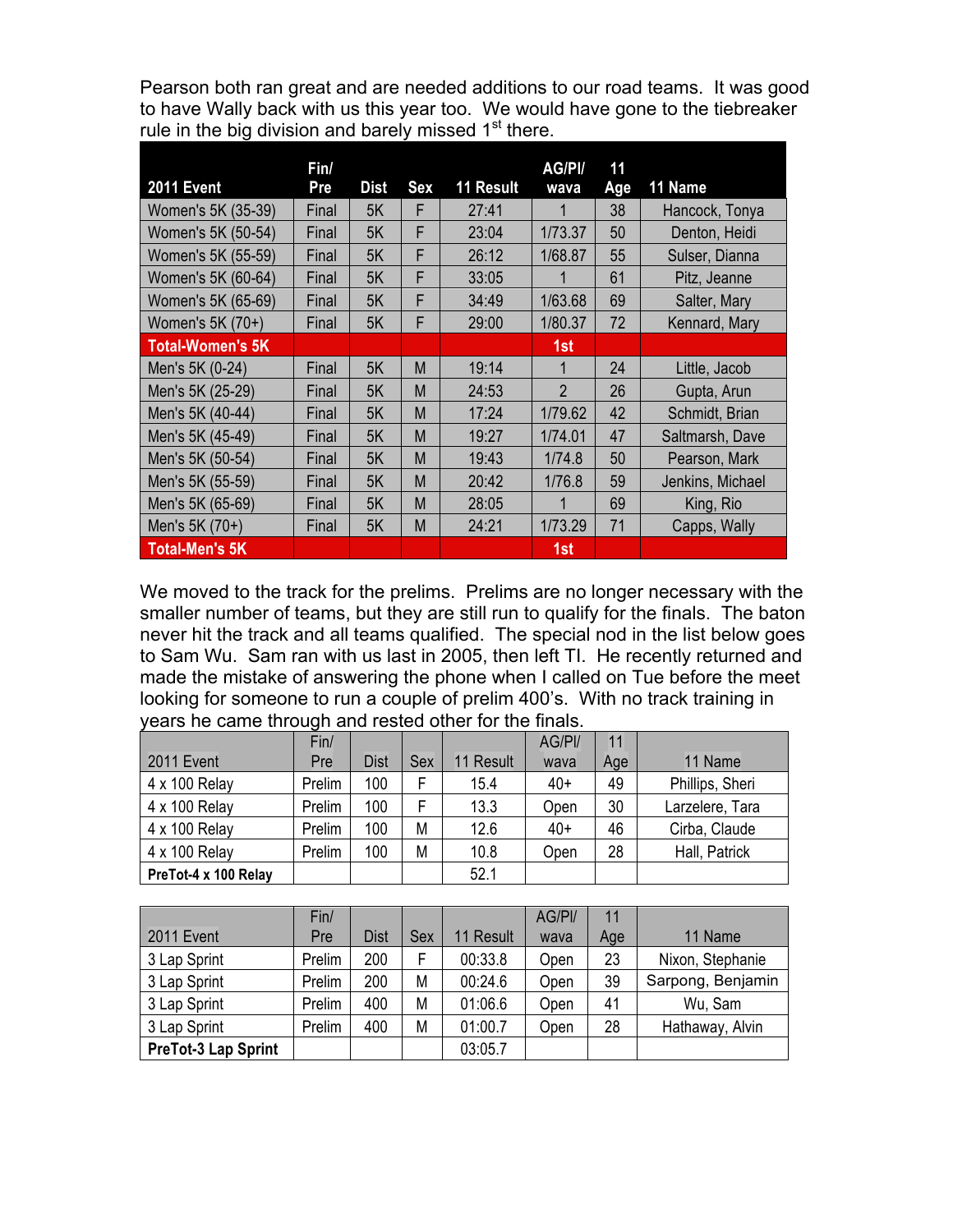Pearson both ran great and are needed additions to our road teams. It was good to have Wally back with us this year too. We would have gone to the tiebreaker rule in the big division and barely missed  $1<sup>st</sup>$  there.

|                    | Fin/  |             |     |                  | AG/PI/         | 11  |                  |
|--------------------|-------|-------------|-----|------------------|----------------|-----|------------------|
| <b>2011 Event</b>  | Pre   | <b>Dist</b> | Sex | <b>11 Result</b> | wava           | Age | 11 Name          |
| Women's 5K (35-39) | Final | 5K          | F   | 27:41            |                | 38  | Hancock, Tonya   |
| Women's 5K (50-54) | Final | 5K          | F   | 23:04            | 1/73.37        | 50  | Denton, Heidi    |
| Women's 5K (55-59) | Final | 5K          | F   | 26:12            | 1/68.87        | 55  | Sulser, Dianna   |
| Women's 5K (60-64) | Final | 5K          | F   | 33:05            |                | 61  | Pitz, Jeanne     |
| Women's 5K (65-69) | Final | 5K          | F   | 34:49            | 1/63.68        | 69  | Salter, Mary     |
| Women's 5K (70+)   | Final | 5K          | F   | 29:00            | 1/80.37        | 72  | Kennard, Mary    |
| Total-Women's 5K   |       |             |     |                  | 1st            |     |                  |
| Men's 5K (0-24)    | Final | 5K          | M   | 19:14            | 1              | 24  | Little, Jacob    |
| Men's 5K (25-29)   | Final | 5K          | M   | 24:53            | $\overline{2}$ | 26  | Gupta, Arun      |
| Men's 5K (40-44)   | Final | 5K          | M   | 17:24            | 1/79.62        | 42  | Schmidt, Brian   |
| Men's 5K (45-49)   | Final | 5K          | M   | 19:27            | 1/74.01        | 47  | Saltmarsh, Dave  |
| Men's 5K (50-54)   | Final | 5K          | M   | 19:43            | 1/74.8         | 50  | Pearson, Mark    |
| Men's 5K (55-59)   | Final | 5K          | M   | 20:42            | 1/76.8         | 59  | Jenkins, Michael |
| Men's 5K (65-69)   | Final | 5K          | M   | 28:05            |                | 69  | King, Rio        |
| Men's 5K (70+)     | Final | 5K          | M   | 24:21            | 1/73.29        | 71  | Capps, Wally     |
| Total-Men's 5K     |       |             |     |                  | 1st            |     |                  |

We moved to the track for the prelims. Prelims are no longer necessary with the smaller number of teams, but they are still run to qualify for the finals. The baton never hit the track and all teams qualified. The special nod in the list below goes to Sam Wu. Sam ran with us last in 2005, then left TI. He recently returned and made the mistake of answering the phone when I called on Tue before the meet looking for someone to run a couple of prelim 400's. With no track training in years he came through and rested other for the finals.

|                      | Fin/   |             |     |           | AG/PI/ | 11  |                 |
|----------------------|--------|-------------|-----|-----------|--------|-----|-----------------|
| 2011 Event           | Pre    | <b>Dist</b> | Sex | 11 Result | wava   | Age | 11 Name         |
| 4 x 100 Relay        | Prelim | 100         | F   | 15.4      | $40+$  | 49  | Phillips, Sheri |
| 4 x 100 Relay        | Prelim | 100         | F   | 13.3      | Open   | 30  | Larzelere, Tara |
| 4 x 100 Relay        | Prelim | 100         | M   | 12.6      | $40+$  | 46  | Cirba, Claude   |
| 4 x 100 Relay        | Prelim | 100         | M   | 10.8      | Open   | 28  | Hall, Patrick   |
| PreTot-4 x 100 Relay |        |             |     | 52.1      |        |     |                 |

|                            | Fin/   |             |     |           | AG/PI/ | 11  |                   |
|----------------------------|--------|-------------|-----|-----------|--------|-----|-------------------|
| <b>2011 Event</b>          | Pre    | <b>Dist</b> | Sex | 11 Result | wava   | Age | 11 Name           |
| 3 Lap Sprint               | Prelim | 200         | F   | 00:33.8   | Open   | 23  | Nixon, Stephanie  |
| 3 Lap Sprint               | Prelim | 200         | Μ   | 00:24.6   | Open   | 39  | Sarpong, Benjamin |
| 3 Lap Sprint               | Prelim | 400         | M   | 01:06.6   | Open   | 41  | Wu, Sam           |
| 3 Lap Sprint               | Prelim | 400         | M   | 01:00.7   | Open   | 28  | Hathaway, Alvin   |
| <b>PreTot-3 Lap Sprint</b> |        |             |     | 03:05.7   |        |     |                   |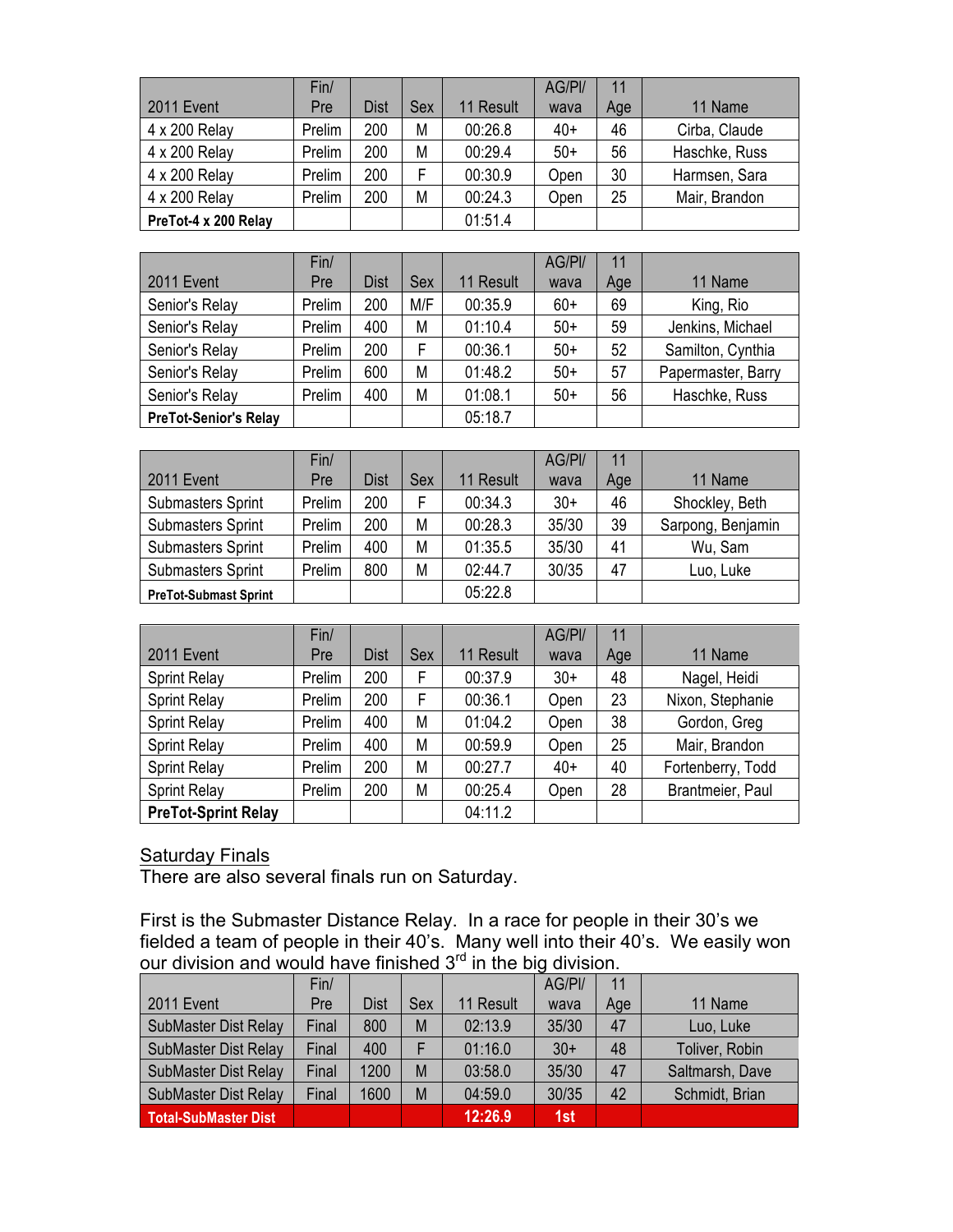|                      | Fin/   |      |     |           | AG/PI/ | 11  |               |
|----------------------|--------|------|-----|-----------|--------|-----|---------------|
| 2011 Event           | Pre    | Dist | Sex | 11 Result | wava   | Age | 11 Name       |
| 4 x 200 Relay        | Prelim | 200  | M   | 00:26.8   | $40+$  | 46  | Cirba, Claude |
| 4 x 200 Relay        | Prelim | 200  | М   | 00:29.4   | $50+$  | 56  | Haschke, Russ |
| 4 x 200 Relay        | Prelim | 200  | F   | 00:30.9   | Open   | 30  | Harmsen, Sara |
| 4 x 200 Relay        | Prelim | 200  | М   | 00:24.3   | Open   | 25  | Mair, Brandon |
| PreTot-4 x 200 Relay |        |      |     | 01:51.4   |        |     |               |

|                              | Fin/   |             |     |           | AG/PI/ | 11  |                    |
|------------------------------|--------|-------------|-----|-----------|--------|-----|--------------------|
| 2011 Event                   | Pre    | <b>Dist</b> | Sex | 11 Result | wava   | Age | 11 Name            |
| Senior's Relay               | Prelim | 200         | M/F | 00:35.9   | $60+$  | 69  | King, Rio          |
| Senior's Relay               | Prelim | 400         | М   | 01:10.4   | $50+$  | 59  | Jenkins, Michael   |
| Senior's Relay               | Prelim | 200         | F   | 00:36.1   | $50+$  | 52  | Samilton, Cynthia  |
| Senior's Relay               | Prelim | 600         | М   | 01:48.2   | $50+$  | 57  | Papermaster, Barry |
| Senior's Relay               | Prelim | 400         | M   | 01:08.1   | $50+$  | 56  | Haschke, Russ      |
| <b>PreTot-Senior's Relay</b> |        |             |     | 05:18.7   |        |     |                    |

|                              | Fin/   |             |     |           | AG/PI/ | 11  |                   |
|------------------------------|--------|-------------|-----|-----------|--------|-----|-------------------|
| <b>2011 Event</b>            | Pre    | <b>Dist</b> | Sex | 11 Result | wava   | Age | 11 Name           |
| <b>Submasters Sprint</b>     | Prelim | 200         | F.  | 00:34.3   | $30+$  | 46  | Shockley, Beth    |
| <b>Submasters Sprint</b>     | Prelim | 200         | М   | 00:28.3   | 35/30  | 39  | Sarpong, Benjamin |
| <b>Submasters Sprint</b>     | Prelim | 400         | М   | 01:35.5   | 35/30  | 41  | Wu, Sam           |
| <b>Submasters Sprint</b>     | Prelim | 800         | M   | 02:44.7   | 30/35  | 47  | Luo, Luke         |
| <b>PreTot-Submast Sprint</b> |        |             |     | 05:22.8   |        |     |                   |

|                            | Fin/   |             |     |           | AG/PI/ | 11  |                   |
|----------------------------|--------|-------------|-----|-----------|--------|-----|-------------------|
| <b>2011 Event</b>          | Pre    | <b>Dist</b> | Sex | 11 Result | wava   | Age | 11 Name           |
| <b>Sprint Relay</b>        | Prelim | 200         | F   | 00:37.9   | $30+$  | 48  | Nagel, Heidi      |
| <b>Sprint Relay</b>        | Prelim | 200         | F   | 00:36.1   | Open   | 23  | Nixon, Stephanie  |
| <b>Sprint Relay</b>        | Prelim | 400         | М   | 01:04.2   | Open   | 38  | Gordon, Greg      |
| <b>Sprint Relay</b>        | Prelim | 400         | М   | 00:59.9   | Open   | 25  | Mair, Brandon     |
| <b>Sprint Relay</b>        | Prelim | 200         | М   | 00:27.7   | $40+$  | 40  | Fortenberry, Todd |
| <b>Sprint Relay</b>        | Prelim | 200         | М   | 00:25.4   | Open   | 28  | Brantmeier, Paul  |
| <b>PreTot-Sprint Relay</b> |        |             |     | 04:11.2   |        |     |                   |

#### Saturday Finals

There are also several finals run on Saturday.

First is the Submaster Distance Relay. In a race for people in their 30's we fielded a team of people in their 40's. Many well into their 40's. We easily won our division and would have finished  $3<sup>rd</sup>$  in the big division.

|                             | Fin/  |             |     |           | AG/PI/ | 11  |                 |
|-----------------------------|-------|-------------|-----|-----------|--------|-----|-----------------|
| 2011 Event                  | Pre   | <b>Dist</b> | Sex | 11 Result | wava   | Age | 11 Name         |
| SubMaster Dist Relay        | Final | 800         | M   | 02:13.9   | 35/30  | 47  | Luo, Luke       |
| SubMaster Dist Relay        | Final | 400         |     | 01:16.0   | $30+$  | 48  | Toliver, Robin  |
| SubMaster Dist Relay        | Final | 1200        | M   | 03:58.0   | 35/30  | 47  | Saltmarsh, Dave |
| SubMaster Dist Relay        | Final | 1600        | M   | 04:59.0   | 30/35  | 42  | Schmidt, Brian  |
| <b>Total-SubMaster Dist</b> |       |             |     | 12:26.9   | 1st    |     |                 |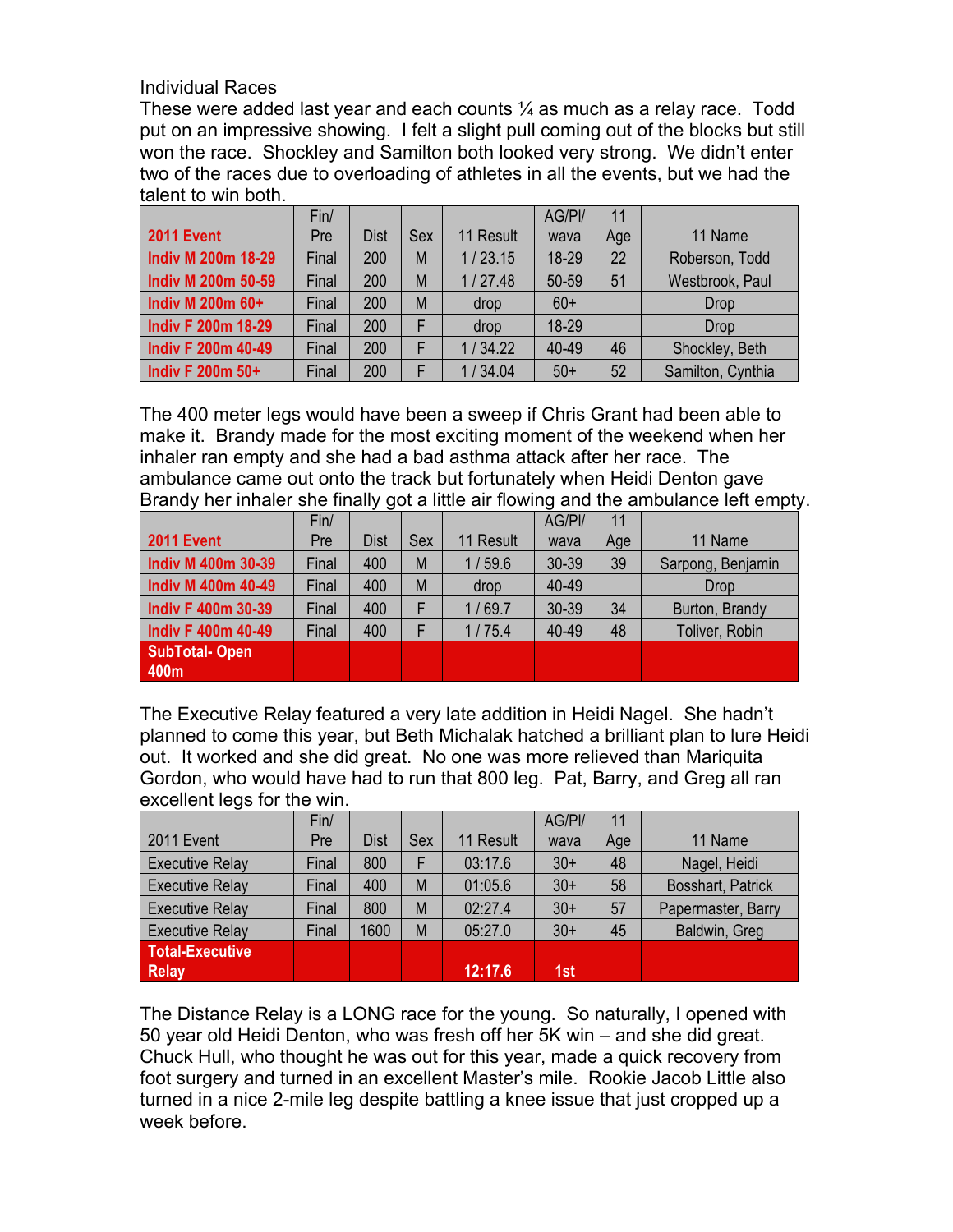#### Individual Races

These were added last year and each counts  $\mathcal{V}_4$  as much as a relay race. Todd put on an impressive showing. I felt a slight pull coming out of the blocks but still won the race. Shockley and Samilton both looked very strong. We didn't enter two of the races due to overloading of athletes in all the events, but we had the talent to win both.

|                           | Fin/  |             |     |           | AG/PI/ | 11  |                   |
|---------------------------|-------|-------------|-----|-----------|--------|-----|-------------------|
| 2011 Event                | Pre   | <b>Dist</b> | Sex | 11 Result | wava   | Age | 11 Name           |
| <b>Indiv M 200m 18-29</b> | Final | 200         | M   | 1/23.15   | 18-29  | 22  | Roberson, Todd    |
| <b>Indiv M 200m 50-59</b> | Final | 200         | M   | 1/27.48   | 50-59  | 51  | Westbrook, Paul   |
| Indiv M 200m 60+          | Final | 200         | M   | drop      | $60+$  |     | <b>Drop</b>       |
| <b>Indiv F 200m 18-29</b> | Final | 200         |     | drop      | 18-29  |     | <b>Drop</b>       |
| <b>Indiv F 200m 40-49</b> | Final | 200         | F   | 1/34.22   | 40-49  | 46  | Shockley, Beth    |
| Indiv F 200m 50+          | Final | 200         |     | 1/34.04   | $50+$  | 52  | Samilton, Cynthia |

The 400 meter legs would have been a sweep if Chris Grant had been able to make it. Brandy made for the most exciting moment of the weekend when her inhaler ran empty and she had a bad asthma attack after her race. The ambulance came out onto the track but fortunately when Heidi Denton gave Brandy her inhaler she finally got a little air flowing and the ambulance left empty.

|                           | Fin/  |             |     |           | AG/PI/ | 11  |                   |
|---------------------------|-------|-------------|-----|-----------|--------|-----|-------------------|
| <b>2011 Event</b>         | Pre   | <b>Dist</b> | Sex | 11 Result | wava   | Age | 11 Name           |
| <b>Indiv M 400m 30-39</b> | Final | 400         | M   | 1/59.6    | 30-39  | 39  | Sarpong, Benjamin |
| <b>Indiv M 400m 40-49</b> | Final | 400         | M   | drop      | 40-49  |     | Drop              |
| <b>Indiv F 400m 30-39</b> | Final | 400         |     | 1/69.7    | 30-39  | 34  | Burton, Brandy    |
| <b>Indiv F 400m 40-49</b> | Final | 400         |     | 1/75.4    | 40-49  | 48  | Toliver, Robin    |
| <b>SubTotal-Open</b>      |       |             |     |           |        |     |                   |
| 400m                      |       |             |     |           |        |     |                   |

The Executive Relay featured a very late addition in Heidi Nagel. She hadn't planned to come this year, but Beth Michalak hatched a brilliant plan to lure Heidi out. It worked and she did great. No one was more relieved than Mariquita Gordon, who would have had to run that 800 leg. Pat, Barry, and Greg all ran excellent legs for the win.

|                        | Fin/  |             |     |           | AG/PI/ | 11  |                    |
|------------------------|-------|-------------|-----|-----------|--------|-----|--------------------|
| <b>2011 Event</b>      | Pre   | <b>Dist</b> | Sex | 11 Result | wava   | Age | 11 Name            |
| <b>Executive Relay</b> | Final | 800         | F   | 03:17.6   | $30+$  | 48  | Nagel, Heidi       |
| <b>Executive Relay</b> | Final | 400         | M   | 01:05.6   | $30+$  | 58  | Bosshart, Patrick  |
| <b>Executive Relay</b> | Final | 800         | M   | 02:27.4   | $30+$  | 57  | Papermaster, Barry |
| <b>Executive Relay</b> | Final | 1600        | M   | 05:27.0   | $30+$  | 45  | Baldwin, Greg      |
| <b>Total-Executive</b> |       |             |     |           |        |     |                    |
| <b>Relay</b>           |       |             |     | 12:17.6   | 1st    |     |                    |

The Distance Relay is a LONG race for the young. So naturally, I opened with 50 year old Heidi Denton, who was fresh off her 5K win – and she did great. Chuck Hull, who thought he was out for this year, made a quick recovery from foot surgery and turned in an excellent Master's mile. Rookie Jacob Little also turned in a nice 2-mile leg despite battling a knee issue that just cropped up a week before.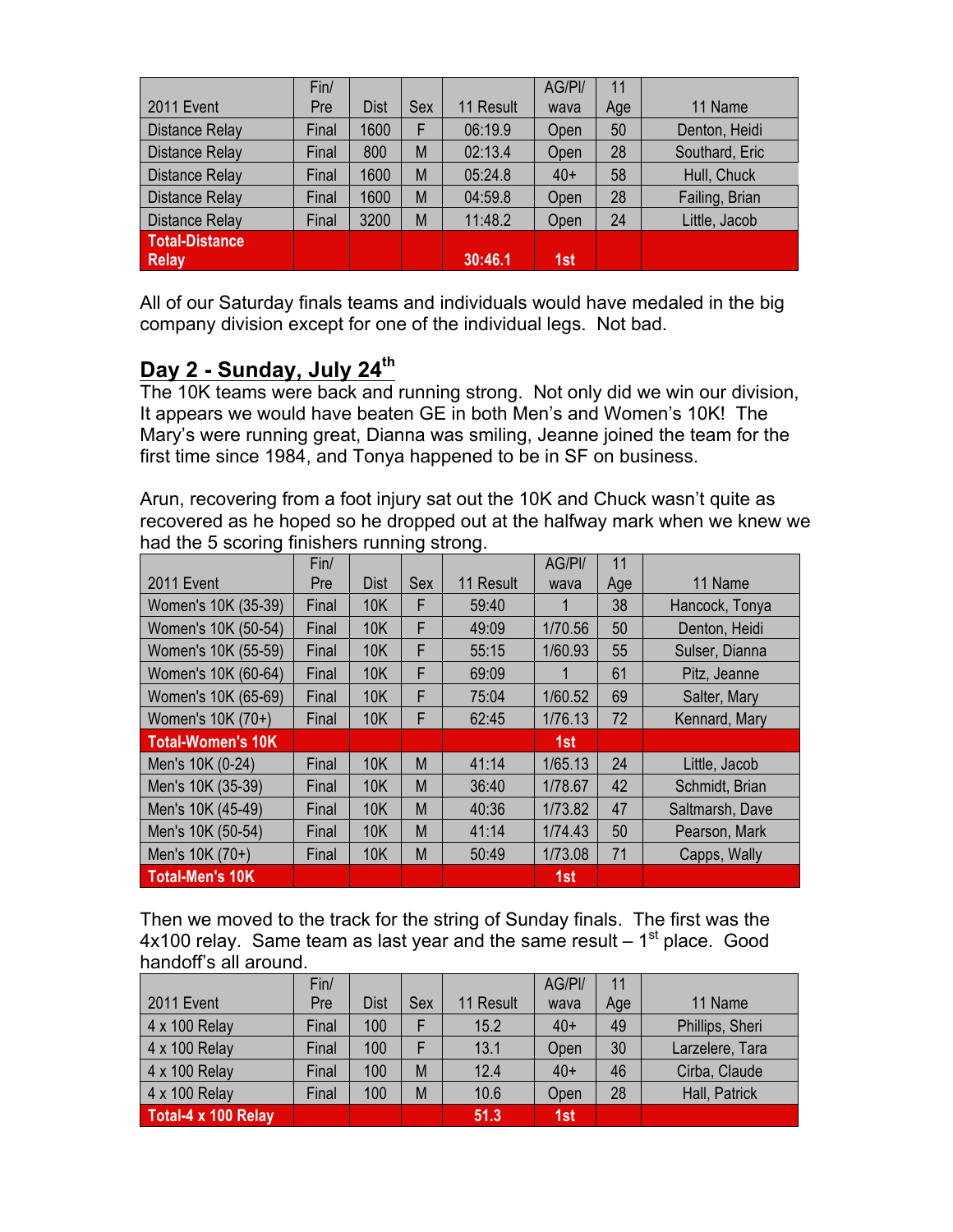|                       | Fin/  |             |     |           | AG/PI/ | 11  |                |
|-----------------------|-------|-------------|-----|-----------|--------|-----|----------------|
| 2011 Event            | Pre   | <b>Dist</b> | Sex | 11 Result | wava   | Age | 11 Name        |
| <b>Distance Relay</b> | Final | 1600        | F   | 06:19.9   | Open   | 50  | Denton, Heidi  |
| <b>Distance Relay</b> | Final | 800         | M   | 02:13.4   | Open   | 28  | Southard, Eric |
| <b>Distance Relay</b> | Final | 1600        | M   | 05:24.8   | $40+$  | 58  | Hull, Chuck    |
| <b>Distance Relay</b> | Final | 1600        | M   | 04:59.8   | Open   | 28  | Failing, Brian |
| <b>Distance Relay</b> | Final | 3200        | M   | 11:48.2   | Open   | 24  | Little, Jacob  |
| <b>Total-Distance</b> |       |             |     |           |        |     |                |
| <b>Relay</b>          |       |             |     | 30:46.1   | 1st    |     |                |

All of our Saturday finals teams and individuals would have medaled in the big company division except for one of the individual legs. Not bad.

# **Day 2 - Sunday, July 24th**

The 10K teams were back and running strong. Not only did we win our division, It appears we would have beaten GE in both Men's and Women's 10K! The Mary's were running great, Dianna was smiling, Jeanne joined the team for the first time since 1984, and Tonya happened to be in SF on business.

Arun, recovering from a foot injury sat out the 10K and Chuck wasn't quite as recovered as he hoped so he dropped out at the halfway mark when we knew we had the 5 scoring finishers running strong.

|                     | Fin/  |             |     |           | AG/PI/  | 11  |                 |
|---------------------|-------|-------------|-----|-----------|---------|-----|-----------------|
| <b>2011 Event</b>   | Pre   | <b>Dist</b> | Sex | 11 Result | wava    | Age | 11 Name         |
| Women's 10K (35-39) | Final | <b>10K</b>  | F   | 59:40     |         | 38  | Hancock, Tonya  |
| Women's 10K (50-54) | Final | <b>10K</b>  | F   | 49:09     | 1/70.56 | 50  | Denton, Heidi   |
| Women's 10K (55-59) | Final | <b>10K</b>  | F   | 55:15     | 1/60.93 | 55  | Sulser, Dianna  |
| Women's 10K (60-64) | Final | <b>10K</b>  | F   | 69:09     |         | 61  | Pitz, Jeanne    |
| Women's 10K (65-69) | Final | 10K         | F   | 75:04     | 1/60.52 | 69  | Salter, Mary    |
| Women's 10K (70+)   | Final | <b>10K</b>  | F   | 62:45     | 1/76.13 | 72  | Kennard, Mary   |
| Total-Women's 10K   |       |             |     |           | 1st     |     |                 |
| Men's 10K (0-24)    | Final | <b>10K</b>  | M   | 41:14     | 1/65.13 | 24  | Little, Jacob   |
| Men's 10K (35-39)   | Final | <b>10K</b>  | M   | 36:40     | 1/78.67 | 42  | Schmidt, Brian  |
| Men's 10K (45-49)   | Final | <b>10K</b>  | M   | 40:36     | 1/73.82 | 47  | Saltmarsh, Dave |
| Men's 10K (50-54)   | Final | <b>10K</b>  | M   | 41:14     | 1/74.43 | 50  | Pearson, Mark   |
| Men's 10K (70+)     | Final | <b>10K</b>  | M   | 50:49     | 1/73.08 | 71  | Capps, Wally    |
| Total-Men's 10K     |       |             |     |           | 1st     |     |                 |

Then we moved to the track for the string of Sunday finals. The first was the  $4x100$  relay. Same team as last year and the same result  $-1<sup>st</sup>$  place. Good handoff's all around.

|                      | Fin/  |             |     |           | AG/PI/ | 11  |                 |
|----------------------|-------|-------------|-----|-----------|--------|-----|-----------------|
| 2011 Event           | Pre   | <b>Dist</b> | Sex | 11 Result | wava   | Age | 11 Name         |
| $4 \times 100$ Relay | Final | 100         | F   | 15.2      | $40+$  | 49  | Phillips, Sheri |
| $4 \times 100$ Relay | Final | 100         |     | 13.1      | Open   | 30  | Larzelere, Tara |
| $4 \times 100$ Relay | Final | 100         | M   | 12.4      | $40+$  | 46  | Cirba, Claude   |
| 4 x 100 Relay        | Final | 100         | M   | 10.6      | Open   | 28  | Hall, Patrick   |
| Total-4 x 100 Relay  |       |             |     | 51.3      | 1st    |     |                 |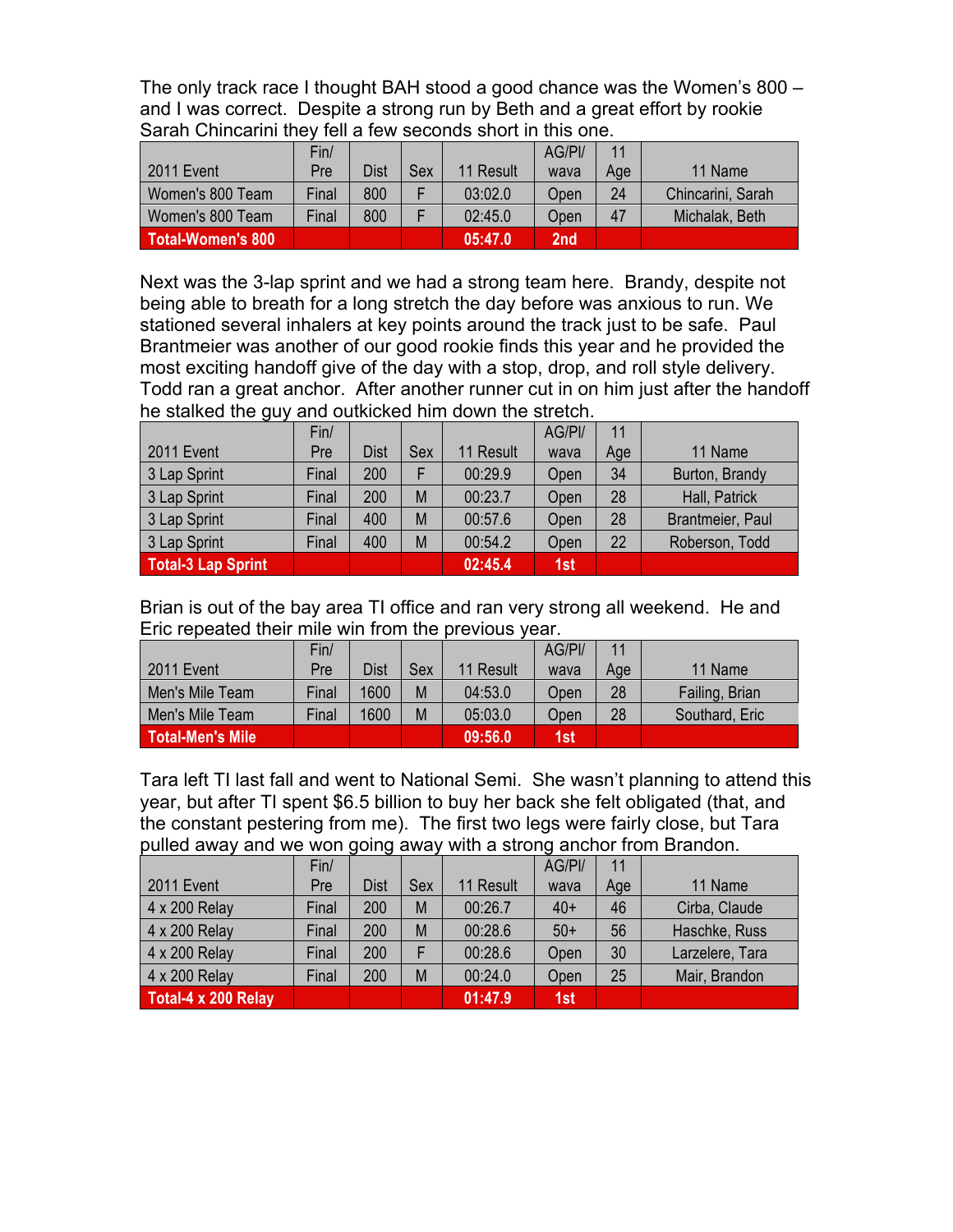The only track race I thought BAH stood a good chance was the Women's 800 – and I was correct. Despite a strong run by Beth and a great effort by rookie Sarah Chincarini they fell a few seconds short in this one.

|                   | Fin/  |      |     |           | AG/PI/ | 11  |                   |
|-------------------|-------|------|-----|-----------|--------|-----|-------------------|
| 2011 Event        | Pre   | Dist | Sex | 11 Result | wava   | Age | 11 Name           |
| Women's 800 Team  | Final | 800  |     | 03:02.0   | Open   | 24  | Chincarini, Sarah |
| Women's 800 Team  | Final | 800  |     | 02:45.0   | Open   | 47  | Michalak, Beth    |
| Total-Women's 800 |       |      |     | 05:47.0   | 2nd    |     |                   |

Next was the 3-lap sprint and we had a strong team here. Brandy, despite not being able to breath for a long stretch the day before was anxious to run. We stationed several inhalers at key points around the track just to be safe. Paul Brantmeier was another of our good rookie finds this year and he provided the most exciting handoff give of the day with a stop, drop, and roll style delivery. Todd ran a great anchor. After another runner cut in on him just after the handoff he stalked the guy and outkicked him down the stretch.

|                    | Fin/  |             |     |           | AG/PI/ | 11  |                  |
|--------------------|-------|-------------|-----|-----------|--------|-----|------------------|
| 2011 Event         | Pre   | <b>Dist</b> | Sex | 11 Result | wava   | Age | 11 Name          |
| 3 Lap Sprint       | Final | 200         |     | 00:29.9   | Open   | 34  | Burton, Brandy   |
| 3 Lap Sprint       | Final | 200         | M   | 00:23.7   | Open   | 28  | Hall, Patrick    |
| 3 Lap Sprint       | Final | 400         | M   | 00:57.6   | Open   | 28  | Brantmeier, Paul |
| 3 Lap Sprint       | Final | 400         | M   | 00:54.2   | Open   | 22  | Roberson, Todd   |
| Total-3 Lap Sprint |       |             |     | 02:45.4   | 1st    |     |                  |

Brian is out of the bay area TI office and ran very strong all weekend. He and Eric repeated their mile win from the previous year.

|                  | Fin/  |             |     |           | AG/PI/ | 11  |                |
|------------------|-------|-------------|-----|-----------|--------|-----|----------------|
| 2011 Event       | Pre   | <b>Dist</b> | Sex | 11 Result | wava   | Age | 11 Name        |
| Men's Mile Team  | Final | 1600        | M   | 04:53.0   | Open   | 28  | Failing, Brian |
| Men's Mile Team  | Final | 1600        | M   | 05:03.0   | Open   | 28  | Southard, Eric |
| Total-Men's Mile |       |             |     | 09:56.0   | 1st    |     |                |

Tara left TI last fall and went to National Semi. She wasn't planning to attend this year, but after TI spent \$6.5 billion to buy her back she felt obligated (that, and the constant pestering from me). The first two legs were fairly close, but Tara pulled away and we won going away with a strong anchor from Brandon.

|                      | Fin/  |             |     |           | AG/PI/ | 11  |                 |
|----------------------|-------|-------------|-----|-----------|--------|-----|-----------------|
| 2011 Event           | Pre   | <b>Dist</b> | Sex | 11 Result | wava   | Age | 11 Name         |
| 4 x 200 Relay        | Final | 200         | M   | 00:26.7   | $40+$  | 46  | Cirba, Claude   |
| 4 x 200 Relay        | Final | 200         | M   | 00:28.6   | $50+$  | 56  | Haschke, Russ   |
| $4 \times 200$ Relay | Final | 200         |     | 00:28.6   | Open   | 30  | Larzelere, Tara |
| 4 x 200 Relay        | Final | 200         | M   | 00:24.0   | Open   | 25  | Mair, Brandon   |
| Total-4 x 200 Relay  |       |             |     | 01:47.9   | 1st    |     |                 |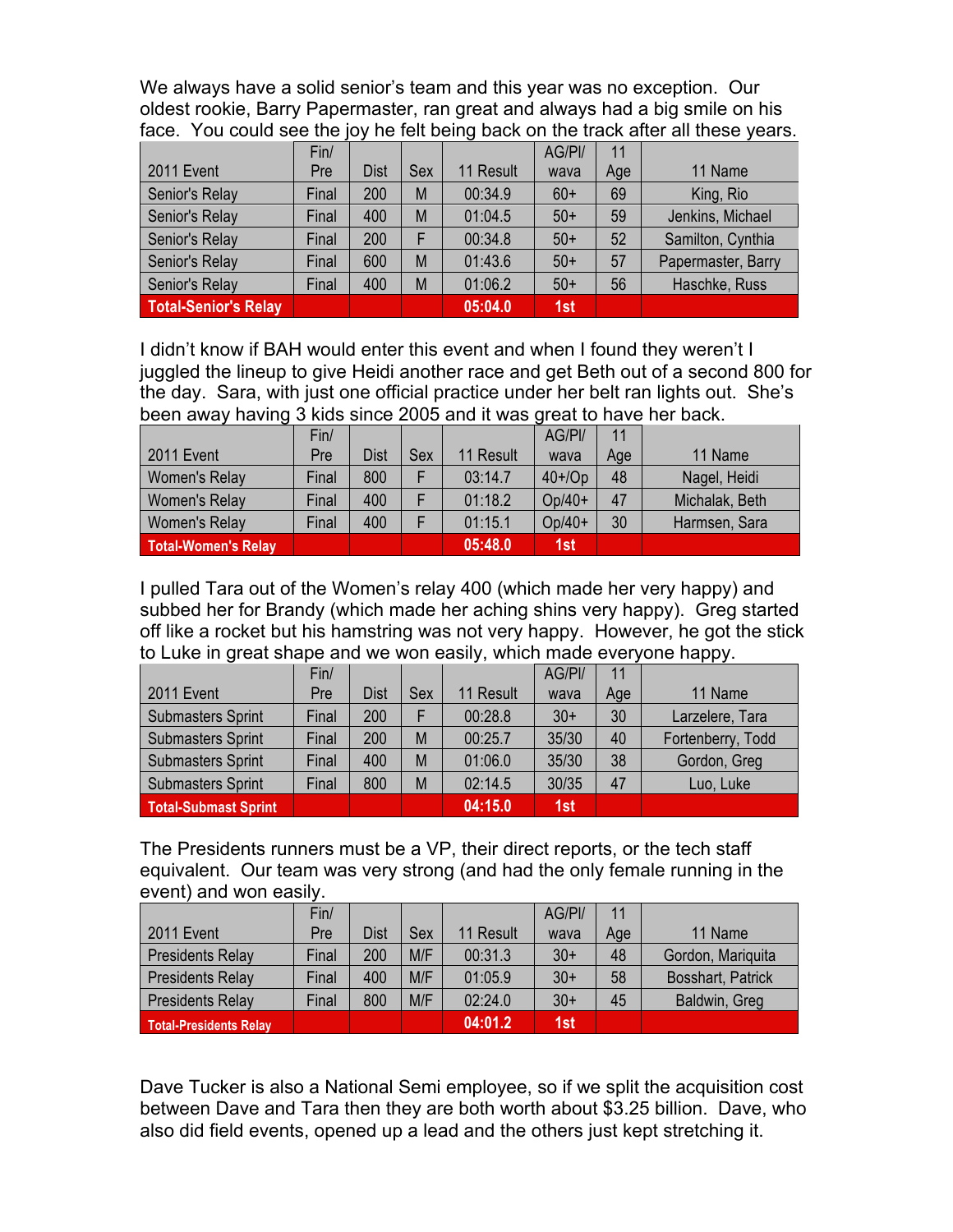We always have a solid senior's team and this year was no exception. Our oldest rookie, Barry Papermaster, ran great and always had a big smile on his face. You could see the joy he felt being back on the track after all these years.

|                      | Fin/  |             |     |           | AG/PI/ | 11  |                    |
|----------------------|-------|-------------|-----|-----------|--------|-----|--------------------|
| 2011 Event           | Pre   | <b>Dist</b> | Sex | 11 Result | wava   | Age | 11 Name            |
| Senior's Relay       | Final | 200         | M   | 00:34.9   | $60+$  | 69  | King, Rio          |
| Senior's Relay       | Final | 400         | M   | 01:04.5   | $50+$  | 59  | Jenkins, Michael   |
| Senior's Relay       | Final | 200         | F   | 00:34.8   | $50+$  | 52  | Samilton, Cynthia  |
| Senior's Relay       | Final | 600         | M   | 01:43.6   | $50+$  | 57  | Papermaster, Barry |
| Senior's Relay       | Final | 400         | M   | 01:06.2   | $50+$  | 56  | Haschke, Russ      |
| Total-Senior's Relay |       |             |     | 05:04.0   | 1st    |     |                    |

I didn't know if BAH would enter this event and when I found they weren't I juggled the lineup to give Heidi another race and get Beth out of a second 800 for the day. Sara, with just one official practice under her belt ran lights out. She's been away having 3 kids since 2005 and it was great to have her back.

|                            | Fin/  |             |     |           | AG/PI/    | 11  |                |
|----------------------------|-------|-------------|-----|-----------|-----------|-----|----------------|
| 2011 Event                 | Pre   | <b>Dist</b> | Sex | 11 Result | wava      | Age | 11 Name        |
| Women's Relay              | Final | 800         |     | 03:14.7   | $40+$ /Op | 48  | Nagel, Heidi   |
| Women's Relay              | Final | 400         |     | 01:18.2   | $Op/40+$  | 47  | Michalak, Beth |
| Women's Relay              | Final | 400         |     | 01:15.1   | $Op/40+$  | 30  | Harmsen, Sara  |
| <b>Total-Women's Relay</b> |       |             |     | 05:48.0   | 1st       |     |                |

I pulled Tara out of the Women's relay 400 (which made her very happy) and subbed her for Brandy (which made her aching shins very happy). Greg started off like a rocket but his hamstring was not very happy. However, he got the stick to Luke in great shape and we won easily, which made everyone happy.

|                             | Fin/  |             |     |           | AG/PI/ | 11  |                   |
|-----------------------------|-------|-------------|-----|-----------|--------|-----|-------------------|
| <b>2011 Event</b>           | Pre   | <b>Dist</b> | Sex | 11 Result | wava   | Age | 11 Name           |
| <b>Submasters Sprint</b>    | Final | 200         |     | 00:28.8   | $30+$  | 30  | Larzelere, Tara   |
| <b>Submasters Sprint</b>    | Final | 200         | M   | 00:25.7   | 35/30  | 40  | Fortenberry, Todd |
| <b>Submasters Sprint</b>    | Final | 400         | M   | 01:06.0   | 35/30  | 38  | Gordon, Greg      |
| <b>Submasters Sprint</b>    | Final | 800         | M   | 02:14.5   | 30/35  | 47  | Luo, Luke         |
| <b>Total-Submast Sprint</b> |       |             |     | 04:15.0   | 1st    |     |                   |

The Presidents runners must be a VP, their direct reports, or the tech staff equivalent. Our team was very strong (and had the only female running in the event) and won easily.

|                               | Fin/  |             |     |           | AG/PI/ | 11  |                   |
|-------------------------------|-------|-------------|-----|-----------|--------|-----|-------------------|
| 2011 Event                    | Pre   | <b>Dist</b> | Sex | 11 Result | wava   | Age | 11 Name           |
| <b>Presidents Relay</b>       | Final | 200         | M/F | 00:31.3   | $30+$  | 48  | Gordon, Mariquita |
| <b>Presidents Relay</b>       | Final | 400         | M/F | 01:05.9   | $30+$  | 58  | Bosshart, Patrick |
| <b>Presidents Relay</b>       | Final | 800         | M/F | 02:24.0   | $30+$  | 45  | Baldwin, Greg     |
| <b>Total-Presidents Relay</b> |       |             |     | 04:01.2   | 1st    |     |                   |

Dave Tucker is also a National Semi employee, so if we split the acquisition cost between Dave and Tara then they are both worth about \$3.25 billion. Dave, who also did field events, opened up a lead and the others just kept stretching it.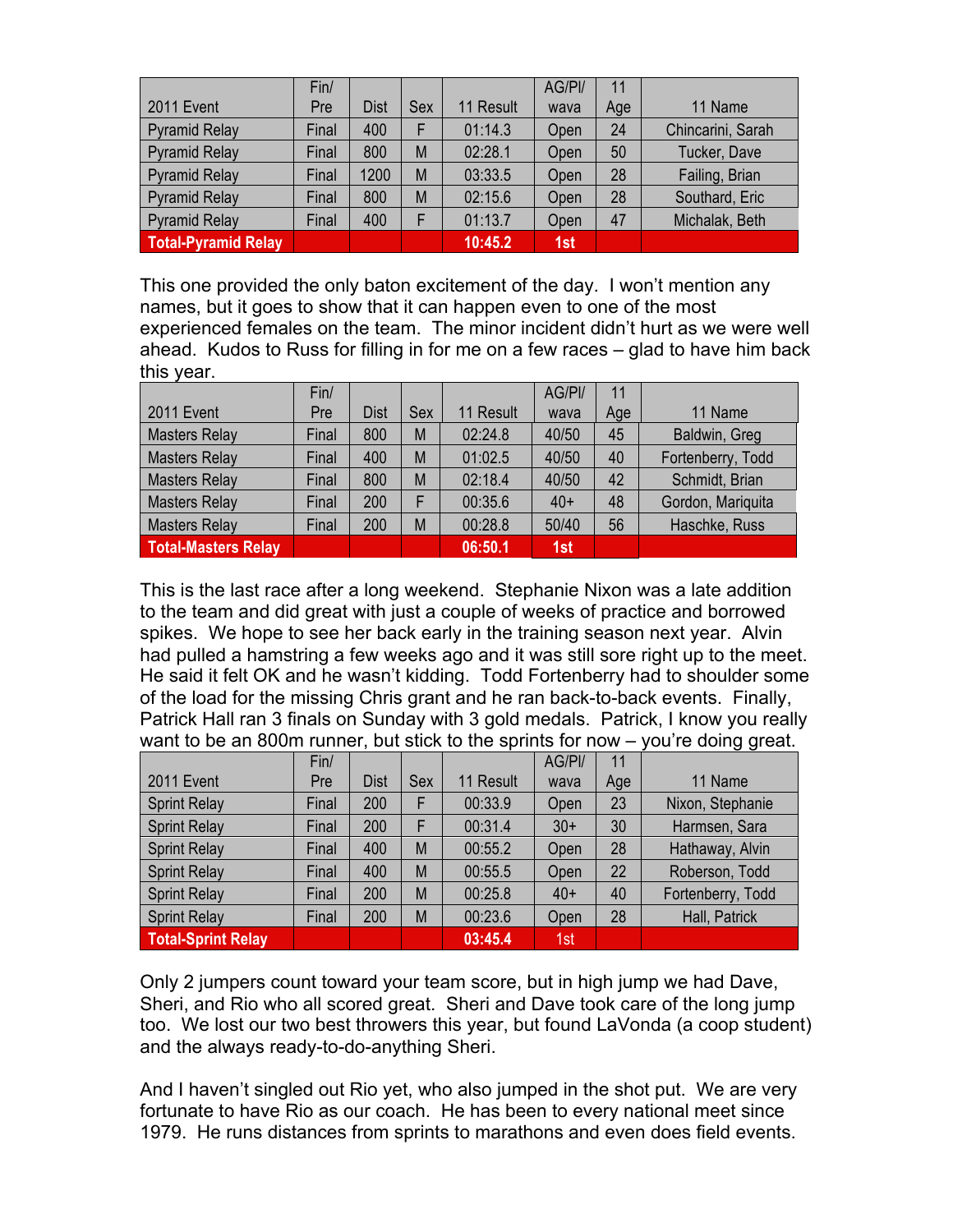|                            | Fin/  |             |     |           | AG/PI/ | 11  |                   |
|----------------------------|-------|-------------|-----|-----------|--------|-----|-------------------|
| 2011 Event                 | Pre   | <b>Dist</b> | Sex | 11 Result | wava   | Age | 11 Name           |
| Pyramid Relay              | Final | 400         | F   | 01:14.3   | Open   | 24  | Chincarini, Sarah |
| Pyramid Relay              | Final | 800         | M   | 02:28.1   | Open   | 50  | Tucker, Dave      |
| Pyramid Relay              | Final | 1200        | M   | 03:33.5   | Open   | 28  | Failing, Brian    |
| Pyramid Relay              | Final | 800         | M   | 02:15.6   | Open   | 28  | Southard, Eric    |
| Pyramid Relay              | Final | 400         | F   | 01:13.7   | Open   | 47  | Michalak, Beth    |
| <b>Total-Pyramid Relay</b> |       |             |     | 10:45.2   | 1st    |     |                   |

This one provided the only baton excitement of the day. I won't mention any names, but it goes to show that it can happen even to one of the most experienced females on the team. The minor incident didn't hurt as we were well ahead. Kudos to Russ for filling in for me on a few races – glad to have him back this year.

|                            | Fin/  |             |     |           | AG/PI/ | 11  |                   |
|----------------------------|-------|-------------|-----|-----------|--------|-----|-------------------|
| 2011 Event                 | Pre   | <b>Dist</b> | Sex | 11 Result | wava   | Age | 11 Name           |
| <b>Masters Relay</b>       | Final | 800         | M   | 02:24.8   | 40/50  | 45  | Baldwin, Greg     |
| <b>Masters Relay</b>       | Final | 400         | M   | 01:02.5   | 40/50  | 40  | Fortenberry, Todd |
| <b>Masters Relay</b>       | Final | 800         | M   | 02:18.4   | 40/50  | 42  | Schmidt, Brian    |
| <b>Masters Relay</b>       | Final | 200         | F   | 00:35.6   | $40+$  | 48  | Gordon, Mariquita |
| <b>Masters Relay</b>       | Final | 200         | M   | 00:28.8   | 50/40  | 56  | Haschke, Russ     |
| <b>Total-Masters Relay</b> |       |             |     | 06:50.1   | 1st    |     |                   |

This is the last race after a long weekend. Stephanie Nixon was a late addition to the team and did great with just a couple of weeks of practice and borrowed spikes. We hope to see her back early in the training season next year. Alvin had pulled a hamstring a few weeks ago and it was still sore right up to the meet. He said it felt OK and he wasn't kidding. Todd Fortenberry had to shoulder some of the load for the missing Chris grant and he ran back-to-back events. Finally, Patrick Hall ran 3 finals on Sunday with 3 gold medals. Patrick, I know you really want to be an 800m runner, but stick to the sprints for now – you're doing great.

|                           | Fin/  |             |     |           | AG/PI/ | 11  |                   |  |  |
|---------------------------|-------|-------------|-----|-----------|--------|-----|-------------------|--|--|
| 2011 Event                | Pre   | <b>Dist</b> | Sex | 11 Result | wava   | Age | 11 Name           |  |  |
| <b>Sprint Relay</b>       | Final | 200         | F   | 00:33.9   | Open   | 23  | Nixon, Stephanie  |  |  |
| <b>Sprint Relay</b>       | Final | 200         | F   | 00:31.4   | $30+$  | 30  | Harmsen, Sara     |  |  |
| <b>Sprint Relay</b>       | Final | 400         | M   | 00:55.2   | Open   | 28  | Hathaway, Alvin   |  |  |
| <b>Sprint Relay</b>       | Final | 400         | M   | 00:55.5   | Open   | 22  | Roberson, Todd    |  |  |
| <b>Sprint Relay</b>       | Final | 200         | M   | 00:25.8   | $40+$  | 40  | Fortenberry, Todd |  |  |
| <b>Sprint Relay</b>       | Final | 200         | M   | 00:23.6   | Open   | 28  | Hall, Patrick     |  |  |
| <b>Total-Sprint Relay</b> |       |             |     | 03:45.4   | 1st    |     |                   |  |  |

Only 2 jumpers count toward your team score, but in high jump we had Dave, Sheri, and Rio who all scored great. Sheri and Dave took care of the long jump too. We lost our two best throwers this year, but found LaVonda (a coop student) and the always ready-to-do-anything Sheri.

And I haven't singled out Rio yet, who also jumped in the shot put. We are very fortunate to have Rio as our coach. He has been to every national meet since 1979. He runs distances from sprints to marathons and even does field events.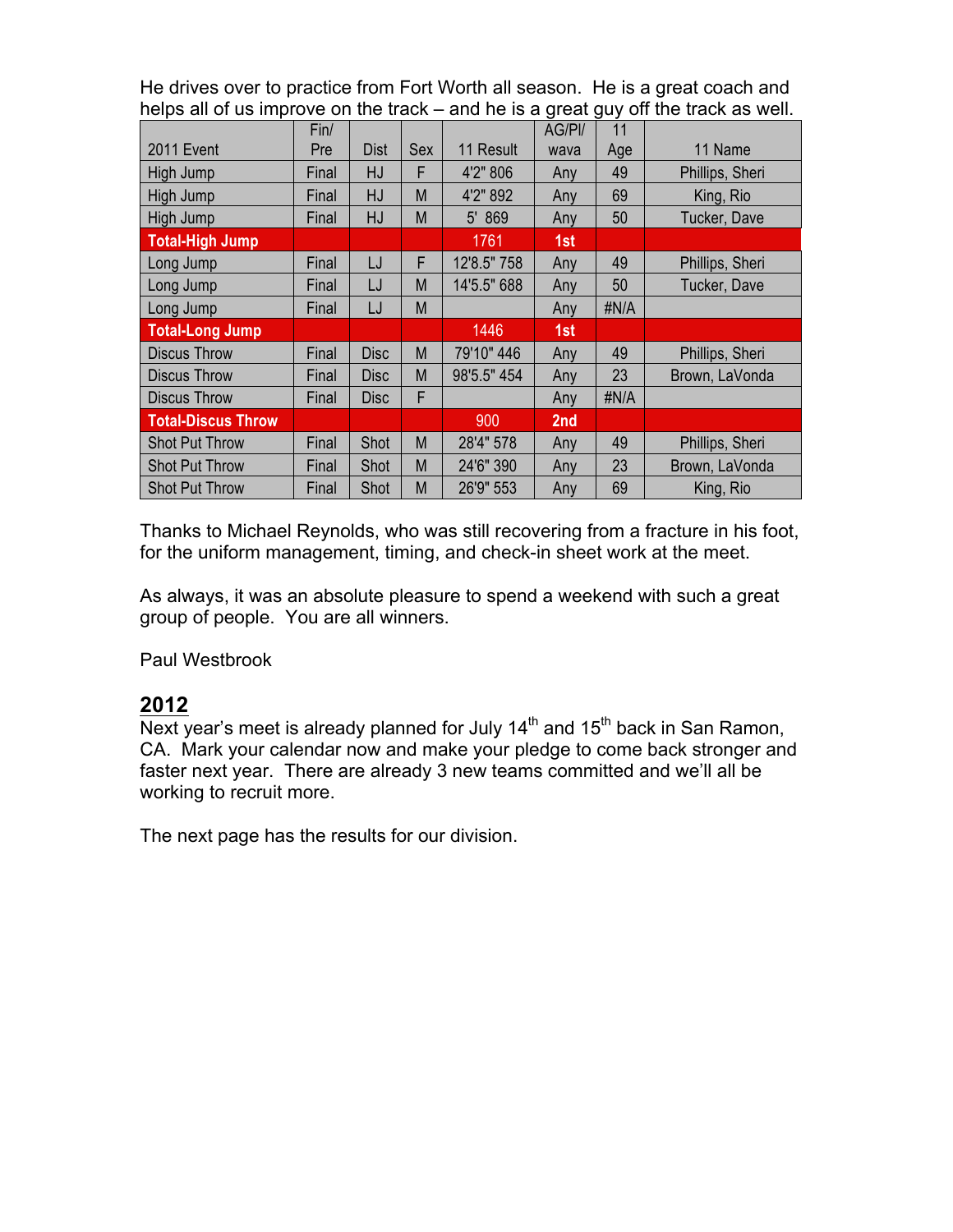He drives over to practice from Fort Worth all season. He is a great coach and helps all of us improve on the track – and he is a great guy off the track as well.

|                           | Fin/  |             |     |             | AG/PI/ | 11   |                 |  |
|---------------------------|-------|-------------|-----|-------------|--------|------|-----------------|--|
| <b>2011 Event</b>         | Pre   | <b>Dist</b> | Sex | 11 Result   | wava   | Age  | 11 Name         |  |
| High Jump                 | Final | HJ          | F   | 4'2" 806    | Any    | 49   | Phillips, Sheri |  |
| High Jump                 | Final | HJ          | M   | 4'2" 892    | Any    | 69   | King, Rio       |  |
| High Jump                 | Final | HJ          | M   | 5' 869      | Any    | 50   | Tucker, Dave    |  |
| <b>Total-High Jump</b>    |       |             |     | 1761        | 1st    |      |                 |  |
| Long Jump                 | Final | LJ          | F   | 12'8.5" 758 | Any    | 49   | Phillips, Sheri |  |
| Long Jump                 | Final | LJ          | M   | 14'5.5" 688 | Any    | 50   | Tucker, Dave    |  |
| Long Jump                 | Final | LJ          | M   |             | Any    | #N/A |                 |  |
| <b>Total-Long Jump</b>    |       |             |     | 1446        | 1st    |      |                 |  |
| <b>Discus Throw</b>       | Final | <b>Disc</b> | M   | 79'10" 446  | Any    | 49   | Phillips, Sheri |  |
| <b>Discus Throw</b>       | Final | <b>Disc</b> | M   | 98'5.5" 454 | Any    | 23   | Brown, LaVonda  |  |
| <b>Discus Throw</b>       | Final | <b>Disc</b> | F   |             | Any    | #N/A |                 |  |
| <b>Total-Discus Throw</b> |       |             |     | 900         | 2nd    |      |                 |  |
| <b>Shot Put Throw</b>     | Final | Shot        | M   | 28'4" 578   | Any    | 49   | Phillips, Sheri |  |
| <b>Shot Put Throw</b>     | Final | Shot        | M   | 24'6" 390   | Any    | 23   | Brown, LaVonda  |  |
| <b>Shot Put Throw</b>     | Final | Shot        | M   | 26'9" 553   | Any    | 69   | King, Rio       |  |

Thanks to Michael Reynolds, who was still recovering from a fracture in his foot, for the uniform management, timing, and check-in sheet work at the meet.

As always, it was an absolute pleasure to spend a weekend with such a great group of people. You are all winners.

Paul Westbrook

# **2012**

Next year's meet is already planned for July  $14<sup>th</sup>$  and  $15<sup>th</sup>$  back in San Ramon, CA. Mark your calendar now and make your pledge to come back stronger and faster next year. There are already 3 new teams committed and we'll all be working to recruit more.

The next page has the results for our division.